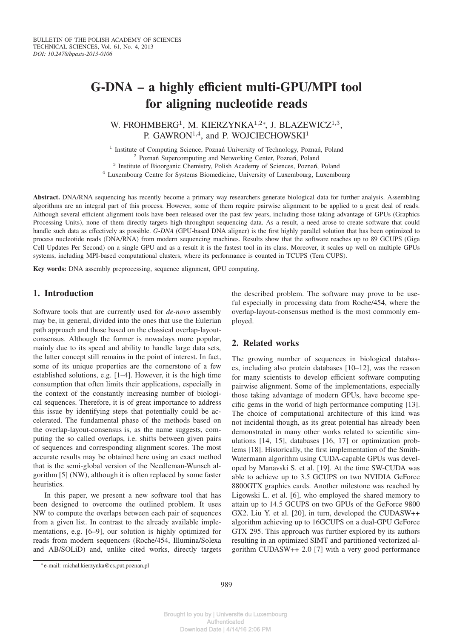# **G-DNA – a highly efficient multi-GPU/MPI tool for aligning nucleotide reads**

W. FROHMBERG<sup>1</sup>, M. KIERZYNKA<sup>1,2\*</sup>, J. BLAZEWICZ<sup>1,3</sup>, P. GAWRON<sup>1,4</sup>, and P. WOJCIECHOWSKI<sup>1</sup>

<sup>1</sup> Institute of Computing Science, Poznań University of Technology, Poznań, Poland <sup>2</sup> Poznań Supercomputing and Networking Center, Poznań, Poland <sup>3</sup> Institute of Bioorganic Chemistry, Polish Academy of Sciences, Poznań, Poland

<sup>4</sup> Luxembourg Centre for Systems Biomedicine, University of Luxembourg, Luxembourg

**Abstract.** DNA/RNA sequencing has recently become a primary way researchers generate biological data for further analysis. Assembling algorithms are an integral part of this process. However, some of them require pairwise alignment to be applied to a great deal of reads. Although several efficient alignment tools have been released over the past few years, including those taking advantage of GPUs (Graphics Processing Units), none of them directly targets high-throughput sequencing data. As a result, a need arose to create software that could handle such data as effectively as possible. *G-DNA* (GPU-based DNA aligner) is the first highly parallel solution that has been optimized to process nucleotide reads (DNA/RNA) from modern sequencing machines. Results show that the software reaches up to 89 GCUPS (Giga Cell Updates Per Second) on a single GPU and as a result it is the fastest tool in its class. Moreover, it scales up well on multiple GPUs systems, including MPI-based computational clusters, where its performance is counted in TCUPS (Tera CUPS).

**Key words:** DNA assembly preprocessing, sequence alignment, GPU computing.

### **1. Introduction**

Software tools that are currently used for *de-novo* assembly may be, in general, divided into the ones that use the Eulerian path approach and those based on the classical overlap-layoutconsensus. Although the former is nowadays more popular, mainly due to its speed and ability to handle large data sets, the latter concept still remains in the point of interest. In fact, some of its unique properties are the cornerstone of a few established solutions, e.g. [1–4]. However, it is the high time consumption that often limits their applications, especially in the context of the constantly increasing number of biological sequences. Therefore, it is of great importance to address this issue by identifying steps that potentially could be accelerated. The fundamental phase of the methods based on the overlap-layout-consensus is, as the name suggests, computing the so called overlaps, i.e. shifts between given pairs of sequences and corresponding alignment scores. The most accurate results may be obtained here using an exact method that is the semi-global version of the Needleman-Wunsch algorithm [5] (NW), although it is often replaced by some faster heuristics.

In this paper, we present a new software tool that has been designed to overcome the outlined problem. It uses NW to compute the overlaps between each pair of sequences from a given list. In contrast to the already available implementations, e.g. [6–9], our solution is highly optimized for reads from modern sequencers (Roche/454, Illumina/Solexa and AB/SOLiD) and, unlike cited works, directly targets

the described problem. The software may prove to be useful especially in processing data from Roche/454, where the overlap-layout-consensus method is the most commonly employed.

## **2. Related works**

The growing number of sequences in biological databases, including also protein databases [10–12], was the reason for many scientists to develop efficient software computing pairwise alignment. Some of the implementations, especially those taking advantage of modern GPUs, have become specific gems in the world of high performance computing [13]. The choice of computational architecture of this kind was not incidental though, as its great potential has already been demonstrated in many other works related to scientific simulations [14, 15], databases [16, 17] or optimization problems [18]. Historically, the first implementation of the Smith-Watermann algorithm using CUDA-capable GPUs was developed by Manavski S. et al. [19]. At the time SW-CUDA was able to achieve up to 3.5 GCUPS on two NVIDIA GeForce 8800GTX graphics cards. Another milestone was reached by Ligowski L. et al. [6], who employed the shared memory to attain up to 14.5 GCUPS on two GPUs of the GeForce 9800 GX2. Liu Y. et al. [20], in turn, developed the CUDASW++ algorithm achieving up to 16GCUPS on a dual-GPU GeForce GTX 295. This approach was further explored by its authors resulting in an optimized SIMT and partitioned vectorized algorithm CUDASW++ 2.0 [7] with a very good performance

<sup>∗</sup>e-mail: michal.kierzynka@cs.put.poznan.pl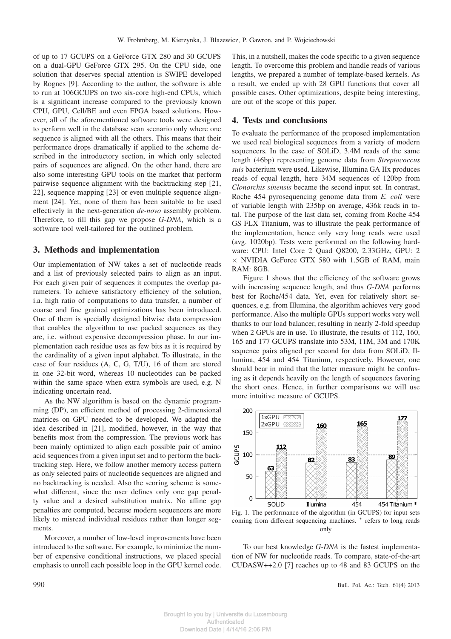of up to 17 GCUPS on a GeForce GTX 280 and 30 GCUPS on a dual-GPU GeForce GTX 295. On the CPU side, one solution that deserves special attention is SWIPE developed by Rognes [9]. According to the author, the software is able to run at 106GCUPS on two six-core high-end CPUs, which is a significant increase compared to the previously known CPU, GPU, Cell/BE and even FPGA based solutions. However, all of the aforementioned software tools were designed to perform well in the database scan scenario only where one sequence is aligned with all the others. This means that their performance drops dramatically if applied to the scheme described in the introductory section, in which only selected pairs of sequences are aligned. On the other hand, there are also some interesting GPU tools on the market that perform pairwise sequence alignment with the backtracking step [21, 22], sequence mapping [23] or even multiple sequence alignment [24]. Yet, none of them has been suitable to be used effectively in the next-generation *de-novo* assembly problem. Therefore, to fill this gap we propose *G-DNA*, which is a software tool well-tailored for the outlined problem.

#### **3. Methods and implementation**

Our implementation of NW takes a set of nucleotide reads and a list of previously selected pairs to align as an input. For each given pair of sequences it computes the overlap parameters. To achieve satisfactory efficiency of the solution, i.a. high ratio of computations to data transfer, a number of coarse and fine grained optimizations has been introduced. One of them is specially designed bitwise data compression that enables the algorithm to use packed sequences as they are, i.e. without expensive decompression phase. In our implementation each residue uses as few bits as it is required by the cardinality of a given input alphabet. To illustrate, in the case of four residues (A, C, G, T/U), 16 of them are stored in one 32-bit word, whereas 10 nucleotides can be packed within the same space when extra symbols are used, e.g. N indicating uncertain read.

As the NW algorithm is based on the dynamic programming (DP), an efficient method of processing 2-dimensional matrices on GPU needed to be developed. We adapted the idea described in [21], modified, however, in the way that benefits most from the compression. The previous work has been mainly optimized to align each possible pair of amino acid sequences from a given input set and to perform the backtracking step. Here, we follow another memory access pattern as only selected pairs of nucleotide sequences are aligned and no backtracking is needed. Also the scoring scheme is somewhat different, since the user defines only one gap penalty value and a desired substitution matrix. No affine gap penalties are computed, because modern sequencers are more likely to misread individual residues rather than longer segments.

Moreover, a number of low-level improvements have been introduced to the software. For example, to minimize the number of expensive conditional instructions, we placed special emphasis to unroll each possible loop in the GPU kernel code.

This, in a nutshell, makes the code specific to a given sequence length. To overcome this problem and handle reads of various lengths, we prepared a number of template-based kernels. As a result, we ended up with 28 GPU functions that cover all possible cases. Other optimizations, despite being interesting, are out of the scope of this paper.

#### **4. Tests and conclusions**

To evaluate the performance of the proposed implementation we used real biological sequences from a variety of modern sequencers. In the case of SOLiD, 3.4M reads of the same length (46bp) representing genome data from *Streptococcus suis* bacterium were used. Likewise, Illumina GA IIx produces reads of equal length, here 34M sequences of 120bp from *Clonorchis sinensis* became the second input set. In contrast, Roche 454 pyrosequencing genome data from *E. coli* were of variable length with 235bp on average, 436k reads in total. The purpose of the last data set, coming from Roche 454 GS FLX Titanium, was to illustrate the peak performance of the implementation, hence only very long reads were used (avg. 1020bp). Tests were performed on the following hardware: CPU: Intel Core 2 Quad Q8200, 2.33GHz, GPU: 2  $\times$  NVIDIA GeForce GTX 580 with 1.5GB of RAM, main RAM: 8GB.

Figure 1 shows that the efficiency of the software grows with increasing sequence length, and thus *G-DNA* performs best for Roche/454 data. Yet, even for relatively short sequences, e.g. from Illumina, the algorithm achieves very good performance. Also the multiple GPUs support works very well thanks to our load balancer, resulting in nearly 2-fold speedup when 2 GPUs are in use. To illustrate, the results of 112, 160, 165 and 177 GCUPS translate into 53M, 11M, 3M and 170K sequence pairs aligned per second for data from SOLiD, Illumina, 454 and 454 Titanium, respectively. However, one should bear in mind that the latter measure might be confusing as it depends heavily on the length of sequences favoring the short ones. Hence, in further comparisons we will use more intuitive measure of GCUPS.



Fig. 1. The performance of the algorithm (in GCUPS) for input sets coming from different sequencing machines. <sup>∗</sup> refers to long reads only

To our best knowledge *G-DNA* is the fastest implementation of NW for nucleotide reads. To compare, state-of-the-art CUDASW++2.0 [7] reaches up to 48 and 83 GCUPS on the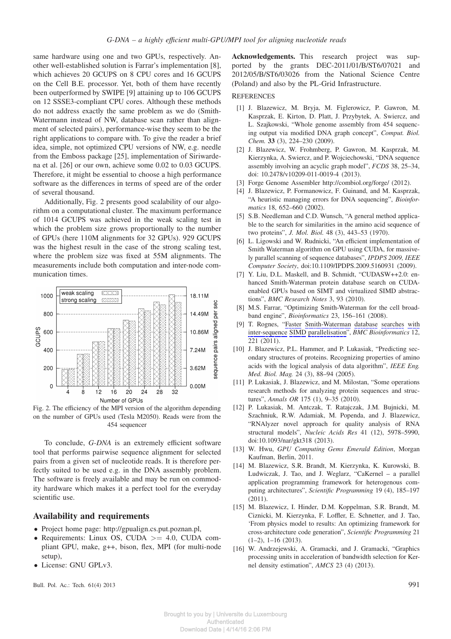same hardware using one and two GPUs, respectively. Another well-established solution is Farrar's implementation [8], which achieves 20 GCUPS on 8 CPU cores and 16 GCUPS on the Cell B.E. processor. Yet, both of them have recently been outperformed by SWIPE [9] attaining up to 106 GCUPS on 12 SSSE3-compliant CPU cores. Although these methods do not address exactly the same problem as we do (Smith-Watermann instead of NW, database scan rather than alignment of selected pairs), performance-wise they seem to be the right applications to compare with. To give the reader a brief idea, simple, not optimized CPU versions of NW, e.g. needle from the Emboss package [25], implementation of Siriwardena et al. [26] or our own, achieve some 0.02 to 0.03 GCUPS. Therefore, it might be essential to choose a high performance software as the differences in terms of speed are of the order of several thousand.

Additionally, Fig. 2 presents good scalability of our algorithm on a computational cluster. The maximum performance of 1014 GCUPS was achieved in the weak scaling test in which the problem size grows proportionally to the number of GPUs (here 110M alignments for 32 GPUs). 929 GCUPS was the highest result in the case of the strong scaling test, where the problem size was fixed at 55M alignments. The measurements include both computation and inter-node communication times.



Fig. 2. The efficiency of the MPI version of the algorithm depending on the number of GPUs used (Tesla M2050). Reads were from the 454 sequencer

To conclude, *G-DNA* is an extremely efficient software tool that performs pairwise sequence alignment for selected pairs from a given set of nucleotide reads. It is therefore perfectly suited to be used e.g. in the DNA assembly problem. The software is freely available and may be run on commodity hardware which makes it a perfect tool for the everyday scientific use.

#### **Availability and requirements**

- Project home page: http://gpualign.cs.put.poznan.pl,
- Requirements: Linux OS, CUDA  $>= 4.0$ , CUDA compliant GPU, make, g++, bison, flex, MPI (for multi-node setup),
- License: GNU GPLv3.

Bull. Pol. Ac.: Tech. 61(4) 2013 991

**Acknowledgements.** This research project was supported by the grants DEC-2011/01/B/ST6/07021 and 2012/05/B/ST6/03026 from the National Science Centre (Poland) and also by the PL-Grid Infrastructure.

#### **REFERENCES**

- [1] J. Blazewicz, M. Bryja, M. Figlerowicz, P. Gawron, M. Kasprzak, E. Kirton, D. Platt, J. Przybytek, A. Swiercz, and L. Szajkowski, "Whole genome assembly from 454 sequencing output via modified DNA graph concept", *Comput. Biol. Chem.* **33** (3), 224–230 (2009).
- [2] J. Blazewicz, W. Frohmberg, P. Gawron, M. Kasprzak, M. Kierzynka, A. Swiercz, and P. Wojciechowski, "DNA sequence assembly involving an acyclic graph model", *FCDS* 38, 25–34, doi: 10.2478/v10209-011-0019-4 (2013).
- [3] Forge Genome Assembler http://combiol.org/forge/ (2012).
- [4] J. Blazewicz, P. Formanowicz, F. Guinand, and M. Kasprzak, "A heuristic managing errors for DNA sequencing", *Bioinformatics* 18, 652–660 (2002).
- [5] S.B. Needleman and C.D. Wunsch, "A general method applicable to the search for similarities in the amino acid sequence of two proteins", *J. Mol. Biol.* 48 (3), 443–53 (1970).
- [6] L. Ligowski and W. Rudnicki, "An efficient implementation of Smith Waterman algorithm on GPU using CUDA, for massively parallel scanning of sequence databases", *IPDPS 2009, IEEE Computer Society*, doi:10.1109/IPDPS.2009.5160931 (2009).
- [7] Y. Liu, D.L. Maskell, and B. Schmidt, "CUDASW++2.0: enhanced Smith-Waterman protein database search on CUDAenabled GPUs based on SIMT and virtualized SIMD abstractions", *BMC Research Notes* 3, 93 (2010).
- [8] M.S. Farrar, "Optimizing Smith-Waterman for the cell broadband engine", *Bioinformatics* 23, 156–161 (2008).
- [9] T. Rognes, "Faster Smith-Waterman database searches with inter-sequence SIMD parallelisation", *BMC Bioinformatics* 12, 221 (2011).
- [10] J. Blazewicz, P.L. Hammer, and P. Lukasiak, "Predicting secondary structures of proteins. Recognizing properties of amino acids with the logical analysis of data algorithm", *IEEE Eng. Med. Biol. Mag.* 24 (3), 88–94 (2005).
- [11] P. Lukasiak, J. Blazewicz, and M. Milostan, "Some operations" research methods for analyzing protein sequences and structures", *Annals OR* 175 (1), 9–35 (2010).
- [12] P. Lukasiak, M. Antczak, T. Ratajczak, J.M. Bujnicki, M. Szachniuk, R.W. Adamiak, M. Popenda, and J. Blazewicz, "RNAlyzer novel approach for quality analysis of RNA structural models", *Nucleic Acids Res* 41 (12), 5978–5990, doi:10.1093/nar/gkt318 (2013).
- [13] W. Hwu, *GPU Computing Gems Emerald Edition*, Morgan Kaufman, Berlin, 2011.
- [14] M. Blazewicz, S.R. Brandt, M. Kierzynka, K. Kurowski, B. Ludwiczak, J. Tao, and J. Weglarz, "CaKernel – a parallel application programming framework for heterogenous computing architectures", *Scientific Programming* 19 (4), 185–197 (2011).
- [15] M. Blazewicz, I. Hinder, D.M. Koppelman, S.R. Brandt, M. Ciznicki, M. Kierzynka, F. Loffler, E. Schnetter, and J. Tao, 'From physics model to results: An optimizing framework for cross-architecture code generation", *Scientific Programming* 21 (1–2), 1–16 (2013).
- [16] W. Andrzejewski, A. Gramacki, and J. Gramacki, "Graphics processing units in acceleration of bandwidth selection for Kernel density estimation", *AMCS* 23 (4) (2013).